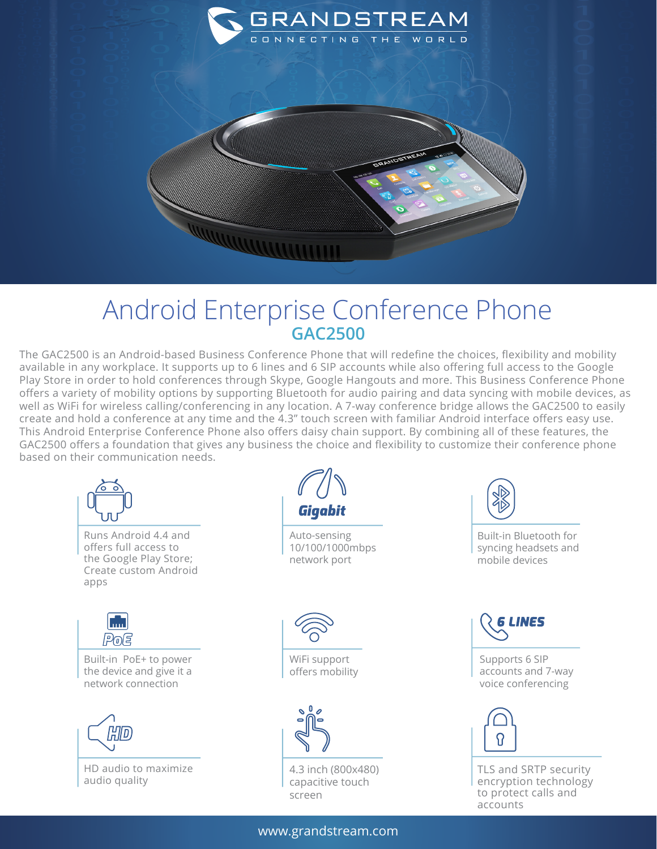

## Android Enterprise Conference Phone **GAC2500**

The GAC2500 is an Android-based Business Conference Phone that will redefine the choices, flexibility and mobility available in any workplace. It supports up to 6 lines and 6 SIP accounts while also offering full access to the Google Play Store in order to hold conferences through Skype, Google Hangouts and more. This Business Conference Phone offers a variety of mobility options by supporting Bluetooth for audio pairing and data syncing with mobile devices, as well as WiFi for wireless calling/conferencing in any location. A 7-way conference bridge allows the GAC2500 to easily create and hold a conference at any time and the 4.3" touch screen with familiar Android interface offers easy use. This Android Enterprise Conference Phone also offers daisy chain support. By combining all of these features, the GAC2500 offers a foundation that gives any business the choice and flexibility to customize their conference phone based on their communication needs.



www.grandstream.com